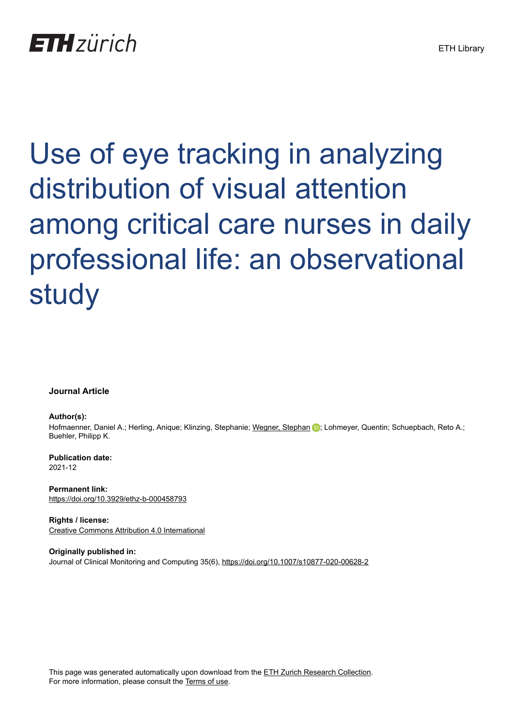# **ETH** zürich

Use of eye tracking in analyzing distribution of visual attention among critical care nurses in daily professional life: an observational study

**Journal Article**

**Author(s):**

Hofmaenner, Daniel A.; Herling, Anique; Klinzing, Stephanie; [Wegner, Stephan](https://orcid.org/0000-0002-1345-6395) D; Lohmeyer, Quentin; Schuepbach, Reto A.; Buehler, Philipp K.

**Publication date:** 2021-12

**Permanent link:** <https://doi.org/10.3929/ethz-b-000458793>

**Rights / license:** [Creative Commons Attribution 4.0 International](http://creativecommons.org/licenses/by/4.0/)

**Originally published in:** Journal of Clinical Monitoring and Computing 35(6),<https://doi.org/10.1007/s10877-020-00628-2>

This page was generated automatically upon download from the [ETH Zurich Research Collection.](https://www.research-collection.ethz.ch) For more information, please consult the [Terms of use](https://www.research-collection.ethz.ch/terms-of-use).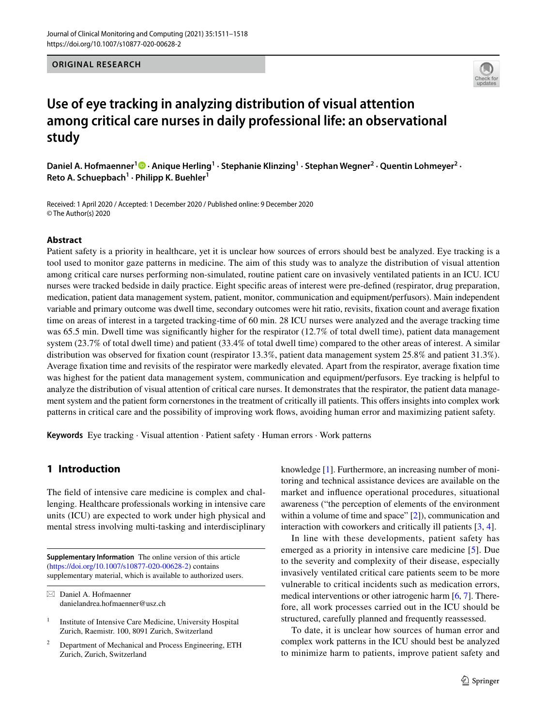**ORIGINAL RESEARCH**



# **Use of eye tracking in analyzing distribution of visual attention among critical care nurses in daily professional life: an observational study**

Daniel A. Hofmaenner<sup>1</sup><sup>®</sup> [·](http://orcid.org/0000-0002-9334-7753) Anique Herling<sup>1</sup> · Stephanie Klinzing<sup>1</sup> · Stephan Wegner<sup>2</sup> · Quentin Lohmeyer<sup>2</sup> · **Reto A. Schuepbach1 · Philipp K. Buehler1**

Received: 1 April 2020 / Accepted: 1 December 2020 / Published online: 9 December 2020 © The Author(s) 2020

## **Abstract**

Patient safety is a priority in healthcare, yet it is unclear how sources of errors should best be analyzed. Eye tracking is a tool used to monitor gaze patterns in medicine. The aim of this study was to analyze the distribution of visual attention among critical care nurses performing non-simulated, routine patient care on invasively ventilated patients in an ICU. ICU nurses were tracked bedside in daily practice. Eight specifc areas of interest were pre-defned (respirator, drug preparation, medication, patient data management system, patient, monitor, communication and equipment/perfusors). Main independent variable and primary outcome was dwell time, secondary outcomes were hit ratio, revisits, fxation count and average fxation time on areas of interest in a targeted tracking-time of 60 min. 28 ICU nurses were analyzed and the average tracking time was 65.5 min. Dwell time was significantly higher for the respirator (12.7% of total dwell time), patient data management system (23.7% of total dwell time) and patient (33.4% of total dwell time) compared to the other areas of interest. A similar distribution was observed for fixation count (respirator 13.3%, patient data management system 25.8% and patient 31.3%). Average fxation time and revisits of the respirator were markedly elevated. Apart from the respirator, average fxation time was highest for the patient data management system, communication and equipment/perfusors. Eye tracking is helpful to analyze the distribution of visual attention of critical care nurses. It demonstrates that the respirator, the patient data management system and the patient form cornerstones in the treatment of critically ill patients. This ofers insights into complex work patterns in critical care and the possibility of improving work fows, avoiding human error and maximizing patient safety.

**Keywords** Eye tracking · Visual attention · Patient safety · Human errors · Work patterns

# **1 Introduction**

The feld of intensive care medicine is complex and challenging. Healthcare professionals working in intensive care units (ICU) are expected to work under high physical and mental stress involving multi-tasking and interdisciplinary

**Supplementary Information** The online version of this article (<https://doi.org/10.1007/s10877-020-00628-2>) contains supplementary material, which is available to authorized users. knowledge [[1\]](#page-8-0). Furthermore, an increasing number of monitoring and technical assistance devices are available on the market and infuence operational procedures, situational awareness ("the perception of elements of the environment within a volume of time and space" [\[2](#page-8-1)]), communication and interaction with coworkers and critically ill patients [[3,](#page-8-2) [4\]](#page-8-3).

In line with these developments, patient safety has emerged as a priority in intensive care medicine [\[5](#page-8-4)]. Due to the severity and complexity of their disease, especially invasively ventilated critical care patients seem to be more vulnerable to critical incidents such as medication errors, medical interventions or other iatrogenic harm [\[6](#page-8-5), [7\]](#page-8-6). Therefore, all work processes carried out in the ICU should be structured, carefully planned and frequently reassessed.

To date, it is unclear how sources of human error and complex work patterns in the ICU should best be analyzed to minimize harm to patients, improve patient safety and

 $\boxtimes$  Daniel A. Hofmaenner danielandrea.hofmaenner@usz.ch

<sup>&</sup>lt;sup>1</sup> Institute of Intensive Care Medicine, University Hospital Zurich, Raemistr. 100, 8091 Zurich, Switzerland

<sup>2</sup> Department of Mechanical and Process Engineering, ETH Zurich, Zurich, Switzerland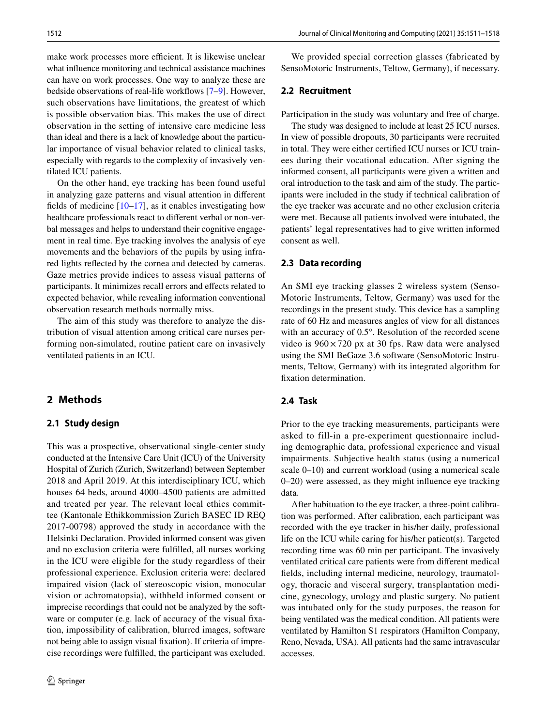make work processes more efficient. It is likewise unclear what infuence monitoring and technical assistance machines can have on work processes. One way to analyze these are bedside observations of real-life workfows [[7–](#page-8-6)[9\]](#page-8-7). However, such observations have limitations, the greatest of which is possible observation bias. This makes the use of direct observation in the setting of intensive care medicine less than ideal and there is a lack of knowledge about the particular importance of visual behavior related to clinical tasks, especially with regards to the complexity of invasively ventilated ICU patients.

On the other hand, eye tracking has been found useful in analyzing gaze patterns and visual attention in diferent fields of medicine  $[10-17]$  $[10-17]$ , as it enables investigating how healthcare professionals react to diferent verbal or non-verbal messages and helps to understand their cognitive engagement in real time. Eye tracking involves the analysis of eye movements and the behaviors of the pupils by using infrared lights refected by the cornea and detected by cameras. Gaze metrics provide indices to assess visual patterns of participants. It minimizes recall errors and efects related to expected behavior, while revealing information conventional observation research methods normally miss.

The aim of this study was therefore to analyze the distribution of visual attention among critical care nurses performing non-simulated, routine patient care on invasively ventilated patients in an ICU.

# **2 Methods**

#### **2.1 Study design**

This was a prospective, observational single-center study conducted at the Intensive Care Unit (ICU) of the University Hospital of Zurich (Zurich, Switzerland) between September 2018 and April 2019. At this interdisciplinary ICU, which houses 64 beds, around 4000–4500 patients are admitted and treated per year. The relevant local ethics committee (Kantonale Ethikkommission Zurich BASEC ID REQ 2017-00798) approved the study in accordance with the Helsinki Declaration. Provided informed consent was given and no exclusion criteria were fulflled, all nurses working in the ICU were eligible for the study regardless of their professional experience. Exclusion criteria were: declared impaired vision (lack of stereoscopic vision, monocular vision or achromatopsia), withheld informed consent or imprecise recordings that could not be analyzed by the software or computer (e.g. lack of accuracy of the visual fxation, impossibility of calibration, blurred images, software not being able to assign visual fxation). If criteria of imprecise recordings were fulflled, the participant was excluded.

We provided special correction glasses (fabricated by SensoMotoric Instruments, Teltow, Germany), if necessary.

#### **2.2 Recruitment**

Participation in the study was voluntary and free of charge.

The study was designed to include at least 25 ICU nurses. In view of possible dropouts, 30 participants were recruited in total. They were either certifed ICU nurses or ICU trainees during their vocational education. After signing the informed consent, all participants were given a written and oral introduction to the task and aim of the study. The participants were included in the study if technical calibration of the eye tracker was accurate and no other exclusion criteria were met. Because all patients involved were intubated, the patients' legal representatives had to give written informed consent as well.

#### **2.3 Data recording**

An SMI eye tracking glasses 2 wireless system (Senso-Motoric Instruments, Teltow, Germany) was used for the recordings in the present study. This device has a sampling rate of 60 Hz and measures angles of view for all distances with an accuracy of 0.5°. Resolution of the recorded scene video is  $960 \times 720$  px at 30 fps. Raw data were analysed using the SMI BeGaze 3.6 software (SensoMotoric Instruments, Teltow, Germany) with its integrated algorithm for fxation determination.

# **2.4 Task**

Prior to the eye tracking measurements, participants were asked to fill-in a pre-experiment questionnaire including demographic data, professional experience and visual impairments. Subjective health status (using a numerical scale 0–10) and current workload (using a numerical scale 0–20) were assessed, as they might infuence eye tracking data.

After habituation to the eye tracker, a three-point calibration was performed. After calibration, each participant was recorded with the eye tracker in his/her daily, professional life on the ICU while caring for his/her patient(s). Targeted recording time was 60 min per participant. The invasively ventilated critical care patients were from diferent medical felds, including internal medicine, neurology, traumatology, thoracic and visceral surgery, transplantation medicine, gynecology, urology and plastic surgery. No patient was intubated only for the study purposes, the reason for being ventilated was the medical condition. All patients were ventilated by Hamilton S1 respirators (Hamilton Company, Reno, Nevada, USA). All patients had the same intravascular accesses.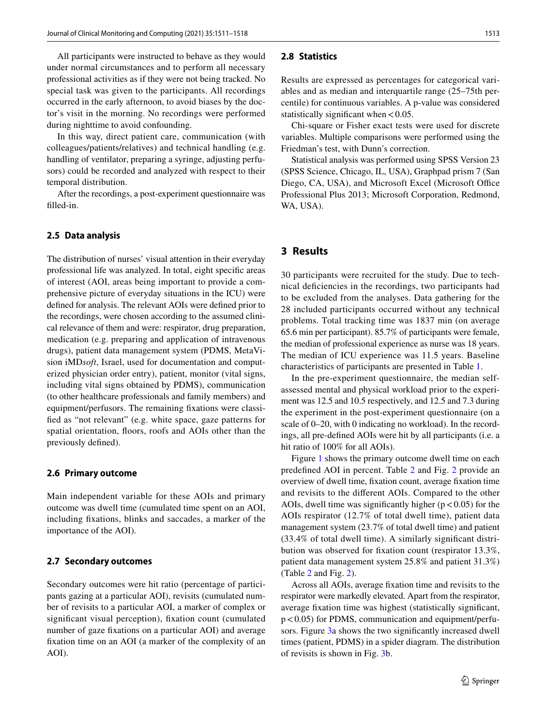All participants were instructed to behave as they would under normal circumstances and to perform all necessary professional activities as if they were not being tracked. No special task was given to the participants. All recordings occurred in the early afternoon, to avoid biases by the doctor's visit in the morning. No recordings were performed during nighttime to avoid confounding.

In this way, direct patient care, communication (with colleagues/patients/relatives) and technical handling (e.g. handling of ventilator, preparing a syringe, adjusting perfusors) could be recorded and analyzed with respect to their temporal distribution.

After the recordings, a post-experiment questionnaire was flled-in.

#### **2.5 Data analysis**

The distribution of nurses' visual attention in their everyday professional life was analyzed. In total, eight specifc areas of interest (AOI, areas being important to provide a comprehensive picture of everyday situations in the ICU) were defned for analysis. The relevant AOIs were defned prior to the recordings, were chosen according to the assumed clinical relevance of them and were: respirator, drug preparation, medication (e.g. preparing and application of intravenous drugs), patient data management system (PDMS, MetaVision iMD*soft*, Israel, used for documentation and computerized physician order entry), patient, monitor (vital signs, including vital signs obtained by PDMS), communication (to other healthcare professionals and family members) and equipment/perfusors. The remaining fxations were classifed as "not relevant" (e.g. white space, gaze patterns for spatial orientation, foors, roofs and AOIs other than the previously defned).

#### **2.6 Primary outcome**

Main independent variable for these AOIs and primary outcome was dwell time (cumulated time spent on an AOI, including fxations, blinks and saccades, a marker of the importance of the AOI).

#### **2.7 Secondary outcomes**

Secondary outcomes were hit ratio (percentage of participants gazing at a particular AOI), revisits (cumulated number of revisits to a particular AOI, a marker of complex or signifcant visual perception), fxation count (cumulated number of gaze fxations on a particular AOI) and average fxation time on an AOI (a marker of the complexity of an AOI).

#### **2.8 Statistics**

Results are expressed as percentages for categorical variables and as median and interquartile range (25–75th percentile) for continuous variables. A p-value was considered statistically significant when  $< 0.05$ .

Chi-square or Fisher exact tests were used for discrete variables. Multiple comparisons were performed using the Friedman's test, with Dunn's correction.

Statistical analysis was performed using SPSS Version 23 (SPSS Science, Chicago, IL, USA), Graphpad prism 7 (San Diego, CA, USA), and Microsoft Excel (Microsoft Office Professional Plus 2013; Microsoft Corporation, Redmond, WA, USA).

## **3 Results**

30 participants were recruited for the study. Due to technical defciencies in the recordings, two participants had to be excluded from the analyses. Data gathering for the 28 included participants occurred without any technical problems. Total tracking time was 1837 min (on average 65.6 min per participant). 85.7% of participants were female, the median of professional experience as nurse was 18 years. The median of ICU experience was 11.5 years. Baseline characteristics of participants are presented in Table [1.](#page-4-0)

In the pre-experiment questionnaire, the median selfassessed mental and physical workload prior to the experiment was 12.5 and 10.5 respectively, and 12.5 and 7.3 during the experiment in the post-experiment questionnaire (on a scale of 0–20, with 0 indicating no workload). In the recordings, all pre-defned AOIs were hit by all participants (i.e. a hit ratio of 100% for all AOIs).

Figure [1](#page-5-0) shows the primary outcome dwell time on each predefned AOI in percent. Table [2](#page-5-1) and Fig. [2](#page-6-0) provide an overview of dwell time, fxation count, average fxation time and revisits to the diferent AOIs. Compared to the other AOIs, dwell time was significantly higher  $(p < 0.05)$  for the AOIs respirator (12.7% of total dwell time), patient data management system (23.7% of total dwell time) and patient (33.4% of total dwell time). A similarly signifcant distribution was observed for fxation count (respirator 13.3%, patient data management system 25.8% and patient 31.3%) (Table [2](#page-5-1) and Fig. [2\)](#page-6-0).

Across all AOIs, average fxation time and revisits to the respirator were markedly elevated. Apart from the respirator, average fxation time was highest (statistically signifcant,  $p < 0.05$ ) for PDMS, communication and equipment/perfusors. Figure [3a](#page-7-0) shows the two signifcantly increased dwell times (patient, PDMS) in a spider diagram. The distribution of revisits is shown in Fig. [3](#page-7-0)b.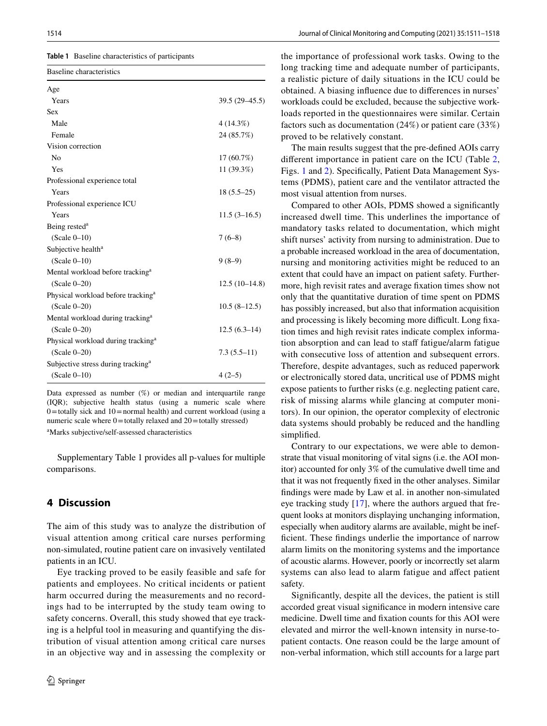<span id="page-4-0"></span>

| <b>Table 1</b> Baseline characteristics of participants |
|---------------------------------------------------------|
|                                                         |

| Baseline characteristics                       |                 |
|------------------------------------------------|-----------------|
| Age                                            |                 |
| Years                                          | 39.5 (29-45.5)  |
| <b>Sex</b>                                     |                 |
| Male                                           | 4(14.3%)        |
| Female                                         | 24 (85.7%)      |
| Vision correction                              |                 |
| N <sub>0</sub>                                 | $17(60.7\%)$    |
| Yes                                            | 11 (39.3%)      |
| Professional experience total                  |                 |
| Years                                          | $18(5.5-25)$    |
| Professional experience ICU                    |                 |
| Years                                          | $11.5(3-16.5)$  |
| Being rested <sup>a</sup>                      |                 |
| $(Scale 0-10)$                                 | $7(6-8)$        |
| Subjective health <sup>a</sup>                 |                 |
| $(Scale 0-10)$                                 | $9(8-9)$        |
| Mental workload before tracking <sup>a</sup>   |                 |
| $(Scale 0-20)$                                 | $12.5(10-14.8)$ |
| Physical workload before tracking <sup>a</sup> |                 |
| $(Scale 0-20)$                                 | $10.5(8-12.5)$  |
| Mental workload during tracking <sup>a</sup>   |                 |
| $(Scale 0-20)$                                 | $12.5(6.3-14)$  |
| Physical workload during tracking <sup>a</sup> |                 |
| $(Scale 0-20)$                                 | $7.3(5.5-11)$   |
| Subjective stress during tracking <sup>a</sup> |                 |
| $(Scale 0-10)$                                 | $4(2-5)$        |

Data expressed as number  $(\%)$  or median and interquartile range (IQR); subjective health status (using a numeric scale where  $0=$ totally sick and  $10=$ normal health) and current workload (using a numeric scale where  $0 =$ totally relaxed and  $20 =$ totally stressed) a Marks subjective/self-assessed characteristics

Supplementary Table 1 provides all p-values for multiple comparisons.

# **4 Discussion**

The aim of this study was to analyze the distribution of visual attention among critical care nurses performing non-simulated, routine patient care on invasively ventilated patients in an ICU.

Eye tracking proved to be easily feasible and safe for patients and employees. No critical incidents or patient harm occurred during the measurements and no recordings had to be interrupted by the study team owing to safety concerns. Overall, this study showed that eye tracking is a helpful tool in measuring and quantifying the distribution of visual attention among critical care nurses in an objective way and in assessing the complexity or the importance of professional work tasks. Owing to the long tracking time and adequate number of participants, a realistic picture of daily situations in the ICU could be obtained. A biasing infuence due to diferences in nurses' workloads could be excluded, because the subjective workloads reported in the questionnaires were similar. Certain factors such as documentation (24%) or patient care (33%) proved to be relatively constant.

The main results suggest that the pre-defned AOIs carry diferent importance in patient care on the ICU (Table [2,](#page-5-1) Figs. [1](#page-5-0) and [2](#page-6-0)). Specifcally, Patient Data Management Systems (PDMS), patient care and the ventilator attracted the most visual attention from nurses.

Compared to other AOIs, PDMS showed a signifcantly increased dwell time. This underlines the importance of mandatory tasks related to documentation, which might shift nurses' activity from nursing to administration. Due to a probable increased workload in the area of documentation, nursing and monitoring activities might be reduced to an extent that could have an impact on patient safety. Furthermore, high revisit rates and average fxation times show not only that the quantitative duration of time spent on PDMS has possibly increased, but also that information acquisition and processing is likely becoming more difficult. Long fixation times and high revisit rates indicate complex information absorption and can lead to staff fatigue/alarm fatigue with consecutive loss of attention and subsequent errors. Therefore, despite advantages, such as reduced paperwork or electronically stored data, uncritical use of PDMS might expose patients to further risks (e.g. neglecting patient care, risk of missing alarms while glancing at computer monitors). In our opinion, the operator complexity of electronic data systems should probably be reduced and the handling simplifed.

Contrary to our expectations, we were able to demonstrate that visual monitoring of vital signs (i.e. the AOI monitor) accounted for only 3% of the cumulative dwell time and that it was not frequently fxed in the other analyses. Similar fndings were made by Law et al. in another non-simulated eye tracking study [[17\]](#page-8-9), where the authors argued that frequent looks at monitors displaying unchanging information, especially when auditory alarms are available, might be ineffcient. These fndings underlie the importance of narrow alarm limits on the monitoring systems and the importance of acoustic alarms. However, poorly or incorrectly set alarm systems can also lead to alarm fatigue and afect patient safety.

Signifcantly, despite all the devices, the patient is still accorded great visual signifcance in modern intensive care medicine. Dwell time and fxation counts for this AOI were elevated and mirror the well-known intensity in nurse-topatient contacts. One reason could be the large amount of non-verbal information, which still accounts for a large part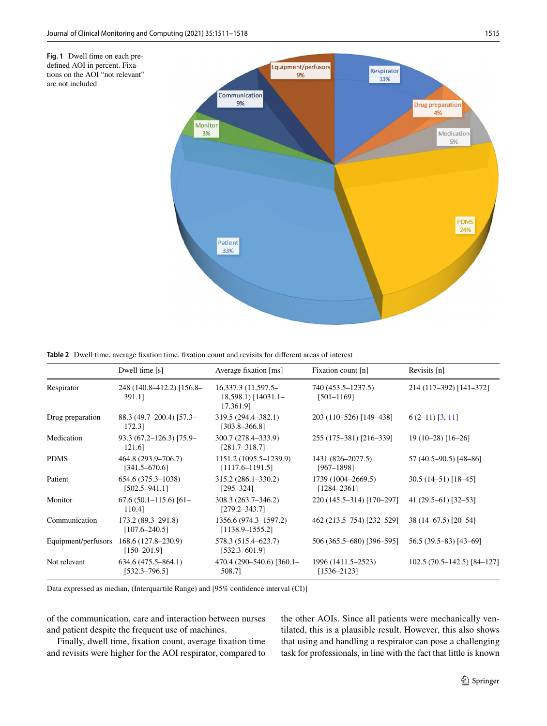<span id="page-5-0"></span>

<span id="page-5-1"></span>**Table 2** Dwell time, average fxation time, fxation count and revisits for diferent areas of interest

|                     | Dwell time $[s]$                            | Average fixation [ms]                                          | Fixation count [n]                    | Revisits [n]                |
|---------------------|---------------------------------------------|----------------------------------------------------------------|---------------------------------------|-----------------------------|
| Respirator          | 248 (140.8–412.2) [156.8–<br>391.11         | $16,337.3(11,597.5-$<br>$18,598.1$ [ $14031.1-$ ]<br>17,361.91 | 740 (453.5–1237.5)<br>$[501 - 1169]$  | 214 (117-392) [141-372]     |
| Drug preparation    | 88.3 (49.7–200.4) [57.3–<br>172.31          | 319.5 (294.4–382.1)<br>$[303.8 - 366.8]$                       | 203 (110–526) [149–438]               | $6(2-11)$ [3, 11]           |
| Medication          | $93.3(67.2 - 126.3)$ [75.9-<br>121.6        | 300.7 (278.4–333.9)<br>$[281.7 - 318.7]$                       | 255 (175–381) [216–339]               | $19(10-28)$ [16-26]         |
| <b>PDMS</b>         | 464.8 (293.9–706.7)<br>$[341.5 - 670.6]$    | 1151.2 (1095.5–1239.9)<br>$[1117.6 - 1191.5]$                  | 1431 (826–2077.5)<br>$[967 - 1898]$   | 57 (40.5–90.5) [48–86]      |
| Patient             | 654.6 (375.3–1038)<br>$[502.5 - 941.1]$     | $315.2(286.1 - 330.2)$<br>$[295 - 324]$                        | 1739 (1004–2669.5)<br>$[1284 - 2361]$ | $30.5(14-51)[18-45]$        |
| Monitor             | $67.6(50.1 - 115.6)$ $[61 -$<br>110.41      | 308.3 (263.7–346.2)<br>$[279.2 - 343.7]$                       | 220 (145.5-314) [170-297]             | $41(29.5-61)$ [32-53]       |
| Communication       | $173.2(89.3-291.8)$<br>$[107.6 - 240.5]$    | 1356.6 (974.3–1597.2)<br>$[1138.9 - 1555.2]$                   | 462 (213.5–754) [232–529]             | 38 (14–67.5) [20–54]        |
| Equipment/perfusors | $168.6(127.8-230.9)$<br>$[150 - 201.9]$     | 578.3 (515.4–623.7)<br>$[532.3 - 601.9]$                       | 506 (365.5–680) [396–595]             | 56.5 (39.5-83) [43-69]      |
| Not relevant        | $634.6(475.5 - 864.1)$<br>$[532.3 - 796.5]$ | 470.4 (290–540.6) [360.1–<br>508.7]                            | 1996 (1411.5–2523)<br>$[1536 - 2123]$ | $102.5(70.5-142.5)[84-127]$ |

Data expressed as median, (Interquartile Range) and [95% confdence interval (CI)]

of the communication, care and interaction between nurses and patient despite the frequent use of machines.

Finally, dwell time, fxation count, average fxation time and revisits were higher for the AOI respirator, compared to the other AOIs. Since all patients were mechanically ventilated, this is a plausible result. However, this also shows that using and handling a respirator can pose a challenging task for professionals, in line with the fact that little is known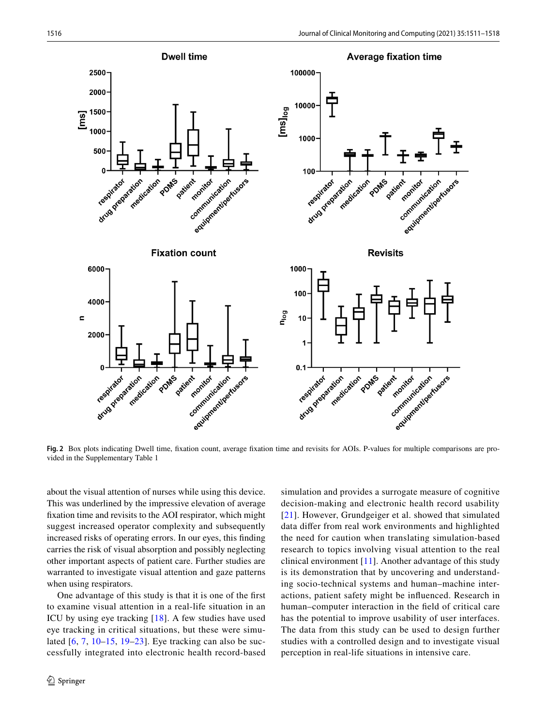

<span id="page-6-0"></span>**Fig. 2** Box plots indicating Dwell time, fxation count, average fxation time and revisits for AOIs. P-values for multiple comparisons are provided in the Supplementary Table 1

about the visual attention of nurses while using this device. This was underlined by the impressive elevation of average fxation time and revisits to the AOI respirator, which might suggest increased operator complexity and subsequently increased risks of operating errors. In our eyes, this fnding carries the risk of visual absorption and possibly neglecting other important aspects of patient care. Further studies are warranted to investigate visual attention and gaze patterns when using respirators.

One advantage of this study is that it is one of the frst to examine visual attention in a real-life situation in an ICU by using eye tracking [[18\]](#page-8-10). A few studies have used eye tracking in critical situations, but these were simulated [[6](#page-8-5), [7,](#page-8-6) [10–](#page-8-8)[15](#page-8-11), [19](#page-8-12)–[23](#page-8-13)]. Eye tracking can also be successfully integrated into electronic health record-based

 $\mathcal{D}$  Springer

simulation and provides a surrogate measure of cognitive decision-making and electronic health record usability [[21](#page-8-14)]. However, Grundgeiger et al. showed that simulated data difer from real work environments and highlighted the need for caution when translating simulation-based research to topics involving visual attention to the real clinical environment  $[11]$  $[11]$  $[11]$ . Another advantage of this study is its demonstration that by uncovering and understanding socio-technical systems and human–machine interactions, patient safety might be infuenced. Research in human–computer interaction in the feld of critical care has the potential to improve usability of user interfaces. The data from this study can be used to design further studies with a controlled design and to investigate visual perception in real-life situations in intensive care.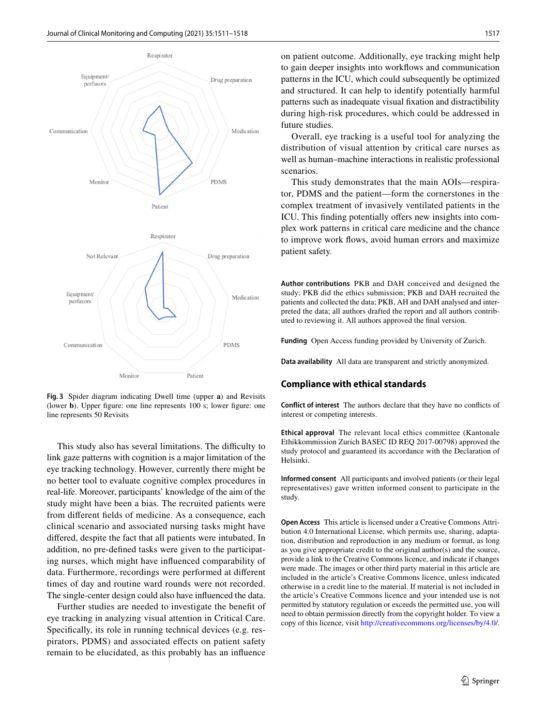



<span id="page-7-0"></span>**Fig. 3** Spider diagram indicating Dwell time (upper **a**) and Revisits (lower **b**). Upper fgure: one line represents 100 s; lower fgure: one line represents 50 Revisits

This study also has several limitations. The difficulty to link gaze patterns with cognition is a major limitation of the eye tracking technology. However, currently there might be no better tool to evaluate cognitive complex procedures in real-life. Moreover, participants' knowledge of the aim of the study might have been a bias. The recruited patients were from diferent felds of medicine. As a consequence, each clinical scenario and associated nursing tasks might have difered, despite the fact that all patients were intubated. In addition, no pre-defned tasks were given to the participating nurses, which might have infuenced comparability of data. Furthermore, recordings were performed at diferent times of day and routine ward rounds were not recorded. The single-center design could also have infuenced the data.

Further studies are needed to investigate the beneft of eye tracking in analyzing visual attention in Critical Care. Specifcally, its role in running technical devices (e.g. respirators, PDMS) and associated efects on patient safety remain to be elucidated, as this probably has an infuence

on patient outcome. Additionally, eye tracking might help to gain deeper insights into workfows and communication patterns in the ICU, which could subsequently be optimized and structured. It can help to identify potentially harmful patterns such as inadequate visual fxation and distractibility during high-risk procedures, which could be addressed in future studies.

Overall, eye tracking is a useful tool for analyzing the distribution of visual attention by critical care nurses as well as human–machine interactions in realistic professional scenarios.

This study demonstrates that the main AOIs—respirator, PDMS and the patient—form the cornerstones in the complex treatment of invasively ventilated patients in the ICU. This finding potentially offers new insights into complex work patterns in critical care medicine and the chance to improve work fows, avoid human errors and maximize patient safety.

**Author contributions** PKB and DAH conceived and designed the study; PKB did the ethics submission; PKB and DAH recruited the patients and collected the data; PKB, AH and DAH analysed and interpreted the data; all authors drafted the report and all authors contributed to reviewing it. All authors approved the fnal version.

**Funding** Open Access funding provided by University of Zurich.

**Data availability** All data are transparent and strictly anonymized.

#### **Compliance with ethical standards**

**Conflict of interest** The authors declare that they have no conficts of interest or competing interests.

**Ethical approval** The relevant local ethics committee (Kantonale Ethikkommission Zurich BASEC ID REQ 2017-00798) approved the study protocol and guaranteed its accordance with the Declaration of Helsinki.

**Informed consent** All participants and involved patients (or their legal representatives) gave written informed consent to participate in the study.

**Open Access** This article is licensed under a Creative Commons Attribution 4.0 International License, which permits use, sharing, adaptation, distribution and reproduction in any medium or format, as long as you give appropriate credit to the original author(s) and the source, provide a link to the Creative Commons licence, and indicate if changes were made. The images or other third party material in this article are included in the article's Creative Commons licence, unless indicated otherwise in a credit line to the material. If material is not included in the article's Creative Commons licence and your intended use is not permitted by statutory regulation or exceeds the permitted use, you will need to obtain permission directly from the copyright holder. To view a copy of this licence, visit<http://creativecommons.org/licenses/by/4.0/>.